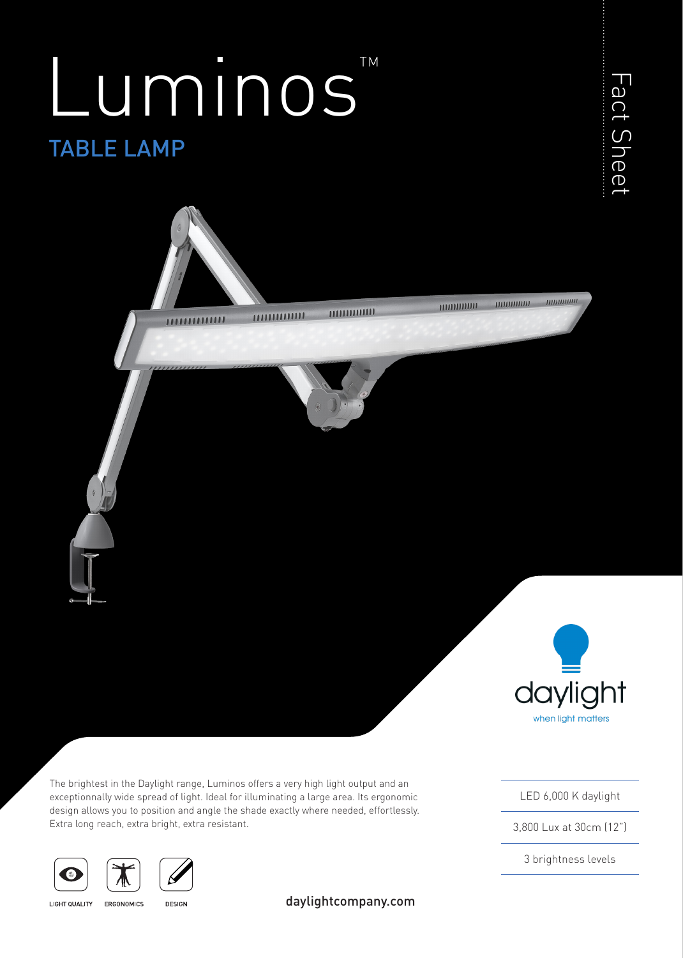# TABLE LAMP Luminos





The brightest in the Daylight range, Luminos offers a very high light output and an exceptionnally wide spread of light. Ideal for illuminating a large area. Its ergonomic design allows you to position and angle the shade exactly where needed, effortlessly. Extra long reach, extra bright, extra resistant.





**LIGHT QUALITY** 

ERGONOMICS **DESIGN**  daylightcompany.com

LED 6,000 K daylight

when light matters

3,800 Lux at 30cm (12")

3 brightness levels